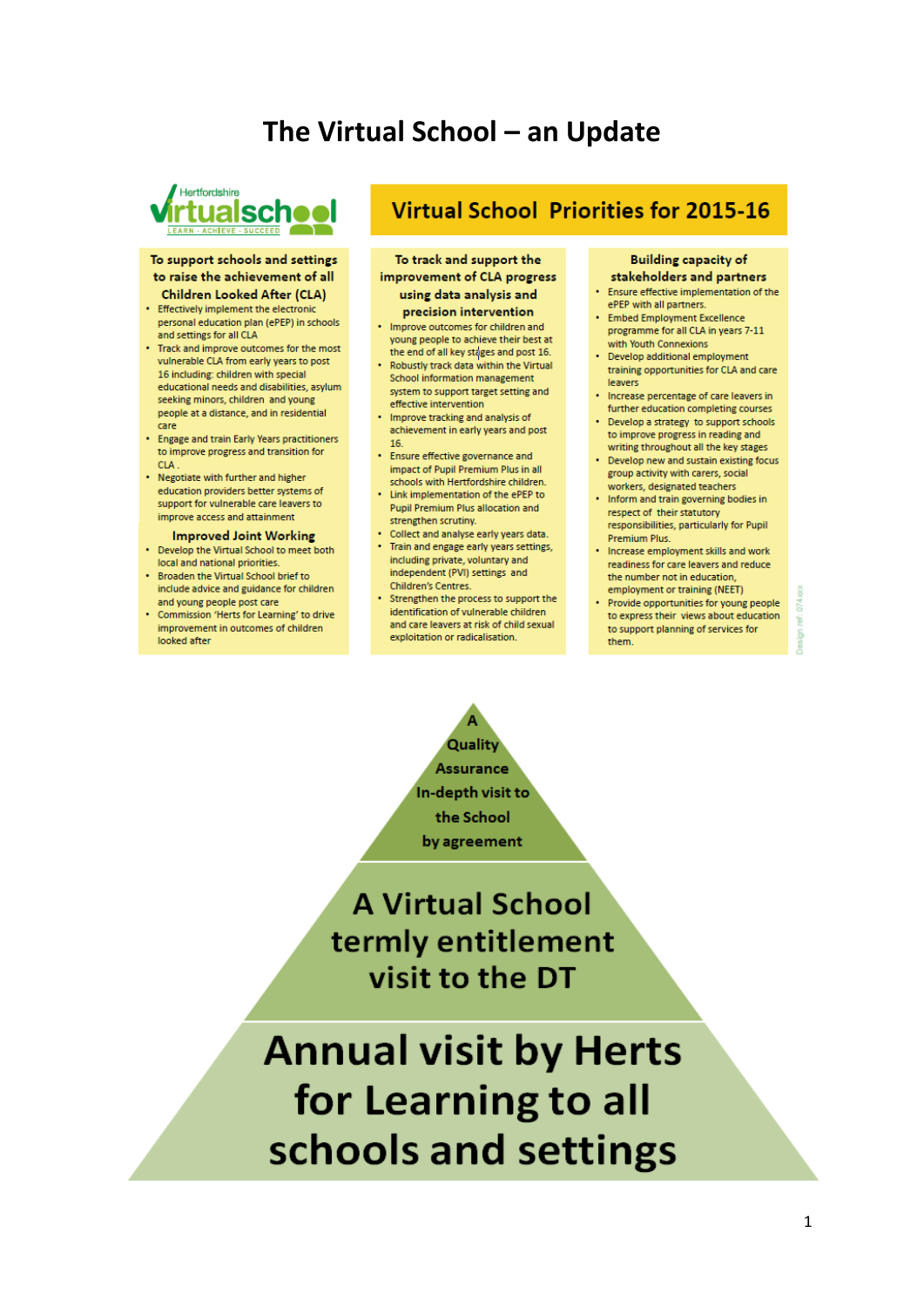# The Virtual School - an Update



#### To support schools and settings to raise the achievement of all **Children Looked After (CLA)**

- Effectively implement the electronic personal education plan (ePEP) in schools and settings for all CLA
- . Track and improve outcomes for the most vulnerable CLA from early years to post 16 including: children with special educational needs and disabilities, asylum seeking minors, children and young people at a distance, and in residential care
- Engage and train Early Years practitioners to improve progress and transition for **CLA**
- Negotiate with further and higher education providers better systems of support for vulnerable care leavers to improve access and attainment

#### **Improved Joint Working**

- Develop the Virtual School to meet both local and national priorities.
- . Broaden the Virtual School brief to include advice and guidance for children and young people post care
- Commission 'Herts for Learning' to drive improvement in outcomes of children looked after

# **Virtual School Priorities for 2015-16**

To track and support the improvement of CLA progress using data analysis and precision intervention

- . Improve outcomes for children and young people to achieve their best at
- the end of all key stages and post 16. Robustly track data within the Virtual School information management system to support target setting and
- effective intervention • Improve tracking and analysis of achievement in early years and post 16
- Ensure effective governance and impact of Pupil Premium Plus in all schools with Hertfordshire children.
- . Link implementation of the ePEP to **Pupil Premium Plus allocation and** strengthen scrutiny.
- Collect and analyse early years data. • Train and engage early years settings, including private, voluntary and independent (PVI) settings and Children's Centres.
- Strengthen the process to support the identification of vulnerable children and care leavers at risk of child sexual exploitation or radicalisation.

#### **Building capacity of** stakeholders and partners

- Ensure effective implementation of the
- ePEP with all partners. · Embed Employment Excellence programme for all CLA in years 7-11 with Youth Connexions
- Develop additional employment training opportunities for CLA and care leavers
- . Increase percentage of care leavers in further education completing courses
- Develop a strategy to support schools to improve progress in reading and
- writing throughout all the key stages Develop new and sustain existing focus group activity with carers, social
- workers, designated teachers • Inform and train governing bodies in respect of their statutory responsibilities, particularly for Pupil Premium Plus.
- Increase employment skills and work readiness for care leavers and reduce the number not in education employment or training (NEET)
- Provide opportunities for young people to express their views about education to support planning of services for them.

崮

**Quality Assurance** In-depth visit to the School by agreement

**A Virtual School** termly entitlement visit to the DT

**Annual visit by Herts** for Learning to all schools and settings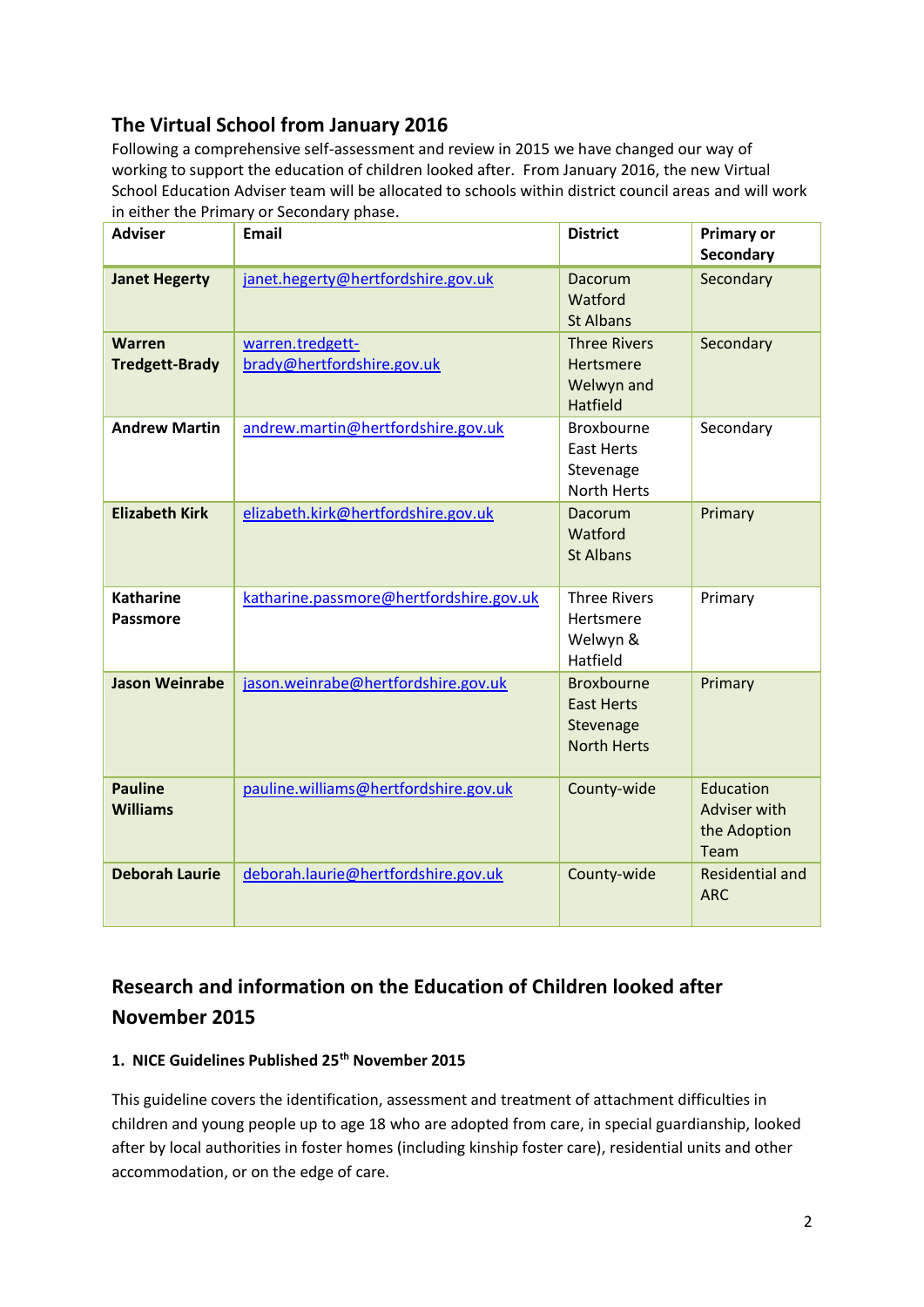# **The Virtual School from January 2016**

Following a comprehensive self-assessment and review in 2015 we have changed our way of working to support the education of children looked after. From January 2016, the new Virtual School Education Adviser team will be allocated to schools within district council areas and will work in either the Primary or Secondary phase.

| <b>Adviser</b>                         | <b>Email</b>                                   | <b>District</b>                                                           | <b>Primary or</b><br>Secondary                    |
|----------------------------------------|------------------------------------------------|---------------------------------------------------------------------------|---------------------------------------------------|
| <b>Janet Hegerty</b>                   | janet.hegerty@hertfordshire.gov.uk             | Dacorum<br>Watford<br><b>St Albans</b>                                    | Secondary                                         |
| <b>Warren</b><br><b>Tredgett-Brady</b> | warren.tredgett-<br>brady@hertfordshire.gov.uk | <b>Three Rivers</b><br>Hertsmere<br>Welwyn and<br><b>Hatfield</b>         | Secondary                                         |
| <b>Andrew Martin</b>                   | andrew.martin@hertfordshire.gov.uk             | Broxbourne<br><b>East Herts</b><br>Stevenage<br><b>North Herts</b>        | Secondary                                         |
| <b>Elizabeth Kirk</b>                  | elizabeth.kirk@hertfordshire.gov.uk            | Dacorum<br>Watford<br><b>St Albans</b>                                    | Primary                                           |
| <b>Katharine</b><br><b>Passmore</b>    | katharine.passmore@hertfordshire.gov.uk        | <b>Three Rivers</b><br>Hertsmere<br>Welwyn &<br>Hatfield                  | Primary                                           |
| <b>Jason Weinrabe</b>                  | jason.weinrabe@hertfordshire.gov.uk            | <b>Broxbourne</b><br><b>East Herts</b><br>Stevenage<br><b>North Herts</b> | Primary                                           |
| <b>Pauline</b><br><b>Williams</b>      | pauline.williams@hertfordshire.gov.uk          | County-wide                                                               | Education<br>Adviser with<br>the Adoption<br>Team |
| <b>Deborah Laurie</b>                  | deborah.laurie@hertfordshire.gov.uk            | County-wide                                                               | <b>Residential and</b><br><b>ARC</b>              |

# **Research and information on the Education of Children looked after November 2015**

### **1. NICE Guidelines Published 25th November 2015**

This guideline covers the identification, assessment and treatment of attachment difficulties in children and young people up to age 18 who are adopted from care, in special guardianship, looked after by local authorities in foster homes (including kinship foster care), residential units and other accommodation, or on the edge of care.